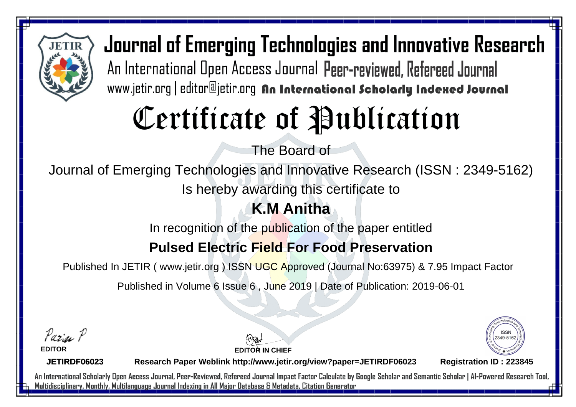

Journal of Emerging Technologies and Innovative Research An International Open Access Journal Peer-reviewed, Refereed Journal www.jetir.org | editor@jetir.org An International Scholarly Indexed Journal

# Certificate of Publication

The Board of

Journal of Emerging Technologies and Innovative Research (ISSN : 2349-5162)

Is hereby awarding this certificate to

### **K.M Anitha**

In recognition of the publication of the paper entitled

### **Pulsed Electric Field For Food Preservation**

Published In JETIR ( www.jetir.org ) ISSN UGC Approved (Journal No: 63975) & 7.95 Impact Factor

Published in Volume 6 Issue 6 , June 2019 | Date of Publication: 2019-06-01

Parin P

**EDITOR**

**EDITOR IN CHIEF**



**JETIRDF06023**

**Research Paper Weblink http://www.jetir.org/view?paper=JETIRDF06023 Registration ID : 223845**

An International Scholarly Open Access Journal, Peer-Reviewed, Refereed Journal Impact Factor Calculate by Google Scholar and Semantic Scholar | Al-Powered Research Tool, Multidisciplinary, Monthly, Multilanguage Journal Indexing in All Major Database & Metadata, Citation Generator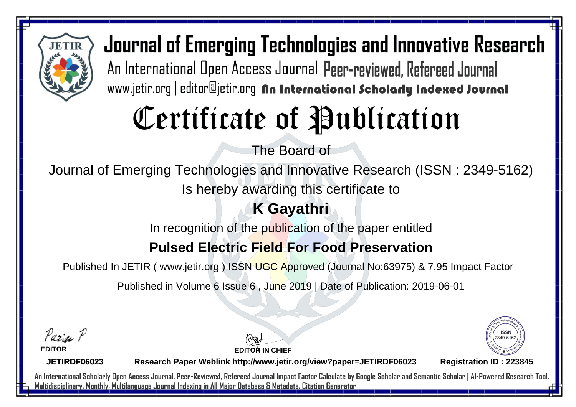

Journal of Emerging Technologies and Innovative Research An International Open Access Journal Peer-reviewed, Refereed Journal www.jetir.org | editor@jetir.org An International Scholarly Indexed Journal

# Certificate of Publication

The Board of

Journal of Emerging Technologies and Innovative Research (ISSN : 2349-5162)

Is hereby awarding this certificate to

## **K Gayathri**

In recognition of the publication of the paper entitled

### **Pulsed Electric Field For Food Preservation**

Published In JETIR ( www.jetir.org ) ISSN UGC Approved (Journal No: 63975) & 7.95 Impact Factor

Published in Volume 6 Issue 6 , June 2019 | Date of Publication: 2019-06-01

Parin P

**EDITOR**

**EDITOR IN CHIEF**



**JETIRDF06023**

**Research Paper Weblink http://www.jetir.org/view?paper=JETIRDF06023 Registration ID : 223845**

An International Scholarly Open Access Journal, Peer-Reviewed, Refereed Journal Impact Factor Calculate by Google Scholar and Semantic Scholar | Al-Powered Research Tool, Multidisciplinary, Monthly, Multilanguage Journal Indexing in All Major Database & Metadata, Citation Generator